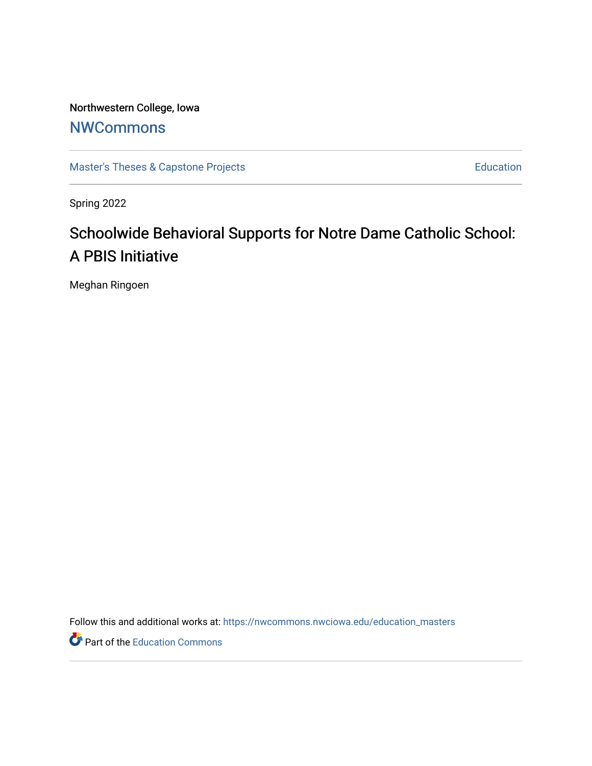Northwestern College, Iowa **[NWCommons](https://nwcommons.nwciowa.edu/)** 

[Master's Theses & Capstone Projects](https://nwcommons.nwciowa.edu/education_masters) **Education** Education

Spring 2022

# Schoolwide Behavioral Supports for Notre Dame Catholic School: A PBIS Initiative

Meghan Ringoen

Follow this and additional works at: [https://nwcommons.nwciowa.edu/education\\_masters](https://nwcommons.nwciowa.edu/education_masters?utm_source=nwcommons.nwciowa.edu%2Feducation_masters%2F405&utm_medium=PDF&utm_campaign=PDFCoverPages)

Part of the [Education Commons](https://network.bepress.com/hgg/discipline/784?utm_source=nwcommons.nwciowa.edu%2Feducation_masters%2F405&utm_medium=PDF&utm_campaign=PDFCoverPages)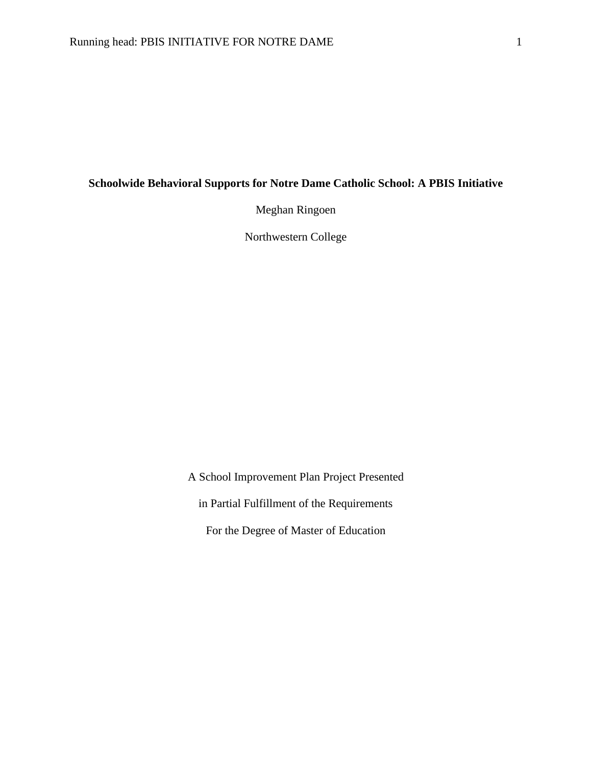## **Schoolwide Behavioral Supports for Notre Dame Catholic School: A PBIS Initiative**

Meghan Ringoen

Northwestern College

A School Improvement Plan Project Presented in Partial Fulfillment of the Requirements For the Degree of Master of Education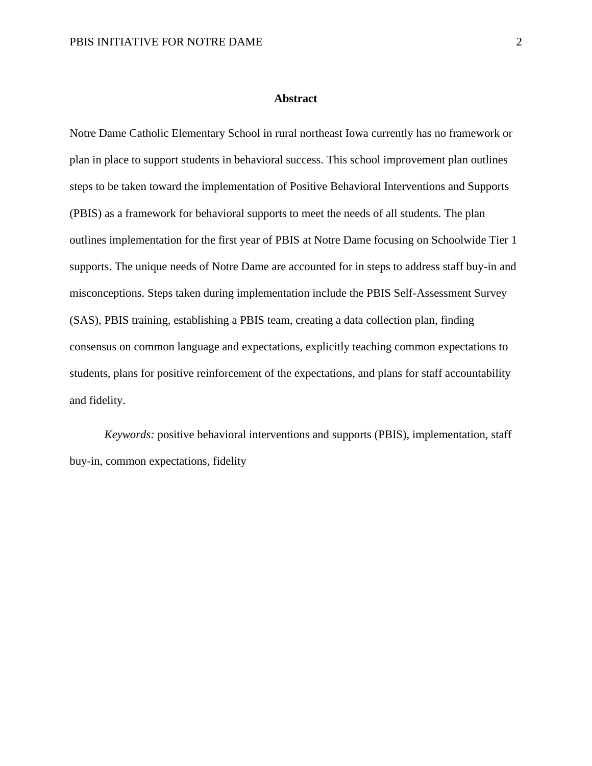#### **Abstract**

Notre Dame Catholic Elementary School in rural northeast Iowa currently has no framework or plan in place to support students in behavioral success. This school improvement plan outlines steps to be taken toward the implementation of Positive Behavioral Interventions and Supports (PBIS) as a framework for behavioral supports to meet the needs of all students. The plan outlines implementation for the first year of PBIS at Notre Dame focusing on Schoolwide Tier 1 supports. The unique needs of Notre Dame are accounted for in steps to address staff buy-in and misconceptions. Steps taken during implementation include the PBIS Self-Assessment Survey (SAS), PBIS training, establishing a PBIS team, creating a data collection plan, finding consensus on common language and expectations, explicitly teaching common expectations to students, plans for positive reinforcement of the expectations, and plans for staff accountability and fidelity.

*Keywords:* positive behavioral interventions and supports (PBIS), implementation, staff buy-in, common expectations, fidelity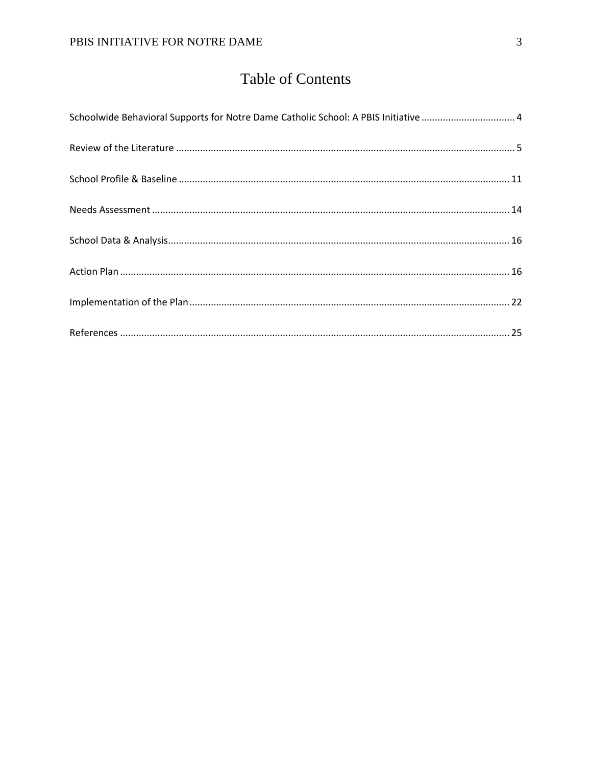# **Table of Contents**

| Schoolwide Behavioral Supports for Notre Dame Catholic School: A PBIS Initiative  4 |  |
|-------------------------------------------------------------------------------------|--|
|                                                                                     |  |
|                                                                                     |  |
|                                                                                     |  |
|                                                                                     |  |
|                                                                                     |  |
|                                                                                     |  |
|                                                                                     |  |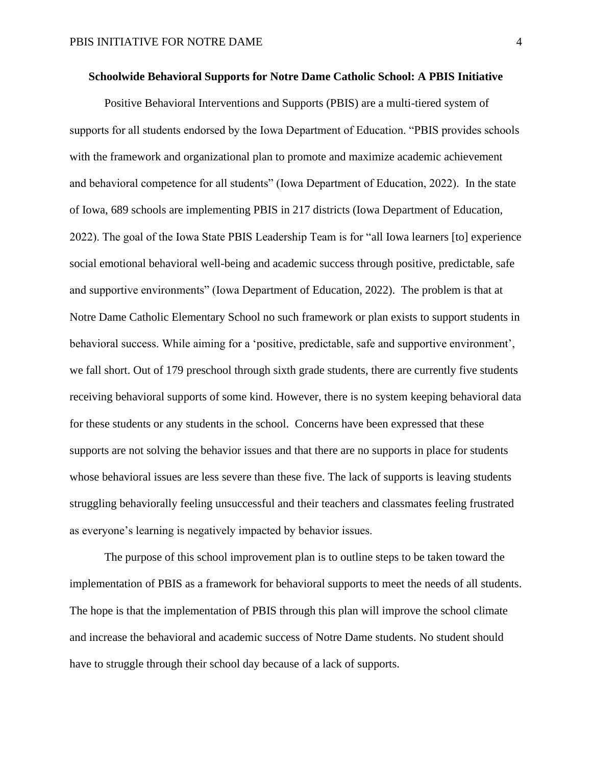## <span id="page-4-0"></span>**Schoolwide Behavioral Supports for Notre Dame Catholic School: A PBIS Initiative**

Positive Behavioral Interventions and Supports (PBIS) are a multi-tiered system of supports for all students endorsed by the Iowa Department of Education. "PBIS provides schools with the framework and organizational plan to promote and maximize academic achievement and behavioral competence for all students" (Iowa Department of Education, 2022). In the state of Iowa, 689 schools are implementing PBIS in 217 districts (Iowa Department of Education, 2022). The goal of the Iowa State PBIS Leadership Team is for "all Iowa learners [to] experience social emotional behavioral well-being and academic success through positive, predictable, safe and supportive environments" (Iowa Department of Education, 2022). The problem is that at Notre Dame Catholic Elementary School no such framework or plan exists to support students in behavioral success. While aiming for a 'positive, predictable, safe and supportive environment', we fall short. Out of 179 preschool through sixth grade students, there are currently five students receiving behavioral supports of some kind. However, there is no system keeping behavioral data for these students or any students in the school. Concerns have been expressed that these supports are not solving the behavior issues and that there are no supports in place for students whose behavioral issues are less severe than these five. The lack of supports is leaving students struggling behaviorally feeling unsuccessful and their teachers and classmates feeling frustrated as everyone's learning is negatively impacted by behavior issues.

The purpose of this school improvement plan is to outline steps to be taken toward the implementation of PBIS as a framework for behavioral supports to meet the needs of all students. The hope is that the implementation of PBIS through this plan will improve the school climate and increase the behavioral and academic success of Notre Dame students. No student should have to struggle through their school day because of a lack of supports.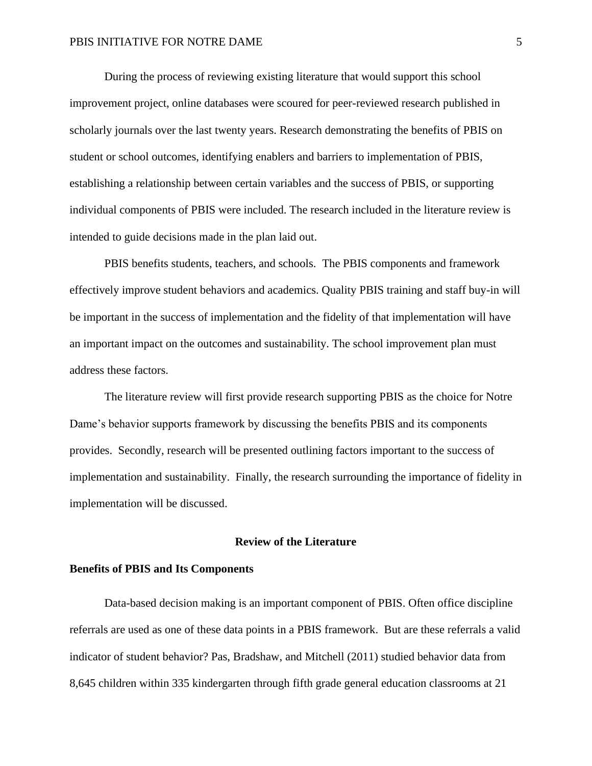During the process of reviewing existing literature that would support this school improvement project, online databases were scoured for peer-reviewed research published in scholarly journals over the last twenty years. Research demonstrating the benefits of PBIS on student or school outcomes, identifying enablers and barriers to implementation of PBIS, establishing a relationship between certain variables and the success of PBIS, or supporting individual components of PBIS were included. The research included in the literature review is intended to guide decisions made in the plan laid out.

PBIS benefits students, teachers, and schools. The PBIS components and framework effectively improve student behaviors and academics. Quality PBIS training and staff buy-in will be important in the success of implementation and the fidelity of that implementation will have an important impact on the outcomes and sustainability. The school improvement plan must address these factors.

The literature review will first provide research supporting PBIS as the choice for Notre Dame's behavior supports framework by discussing the benefits PBIS and its components provides. Secondly, research will be presented outlining factors important to the success of implementation and sustainability. Finally, the research surrounding the importance of fidelity in implementation will be discussed.

## **Review of the Literature**

## <span id="page-5-0"></span>**Benefits of PBIS and Its Components**

Data-based decision making is an important component of PBIS. Often office discipline referrals are used as one of these data points in a PBIS framework. But are these referrals a valid indicator of student behavior? Pas, Bradshaw, and Mitchell (2011) studied behavior data from 8,645 children within 335 kindergarten through fifth grade general education classrooms at 21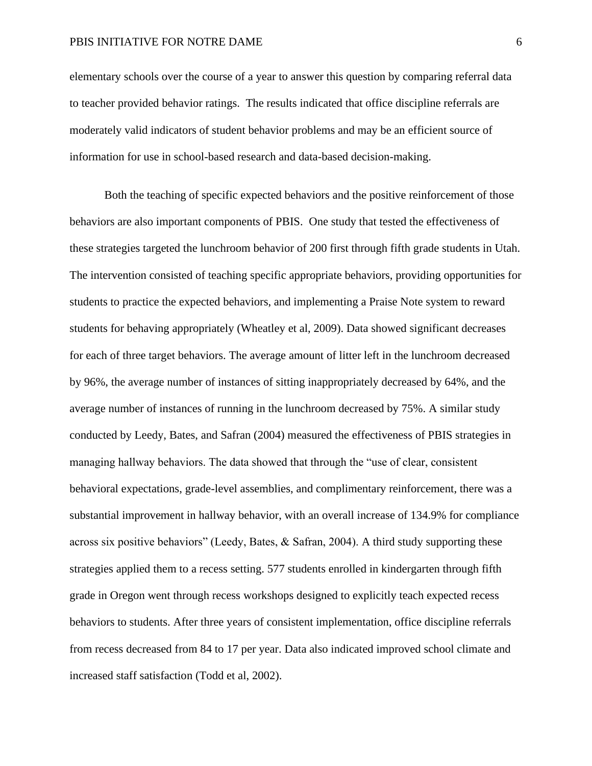elementary schools over the course of a year to answer this question by comparing referral data to teacher provided behavior ratings. The results indicated that office discipline referrals are moderately valid indicators of student behavior problems and may be an efficient source of information for use in school-based research and data-based decision-making.

Both the teaching of specific expected behaviors and the positive reinforcement of those behaviors are also important components of PBIS. One study that tested the effectiveness of these strategies targeted the lunchroom behavior of 200 first through fifth grade students in Utah. The intervention consisted of teaching specific appropriate behaviors, providing opportunities for students to practice the expected behaviors, and implementing a Praise Note system to reward students for behaving appropriately (Wheatley et al, 2009). Data showed significant decreases for each of three target behaviors. The average amount of litter left in the lunchroom decreased by 96%, the average number of instances of sitting inappropriately decreased by 64%, and the average number of instances of running in the lunchroom decreased by 75%. A similar study conducted by Leedy, Bates, and Safran (2004) measured the effectiveness of PBIS strategies in managing hallway behaviors. The data showed that through the "use of clear, consistent behavioral expectations, grade-level assemblies, and complimentary reinforcement, there was a substantial improvement in hallway behavior, with an overall increase of 134.9% for compliance across six positive behaviors" (Leedy, Bates, & Safran, 2004). A third study supporting these strategies applied them to a recess setting. 577 students enrolled in kindergarten through fifth grade in Oregon went through recess workshops designed to explicitly teach expected recess behaviors to students. After three years of consistent implementation, office discipline referrals from recess decreased from 84 to 17 per year. Data also indicated improved school climate and increased staff satisfaction (Todd et al, 2002).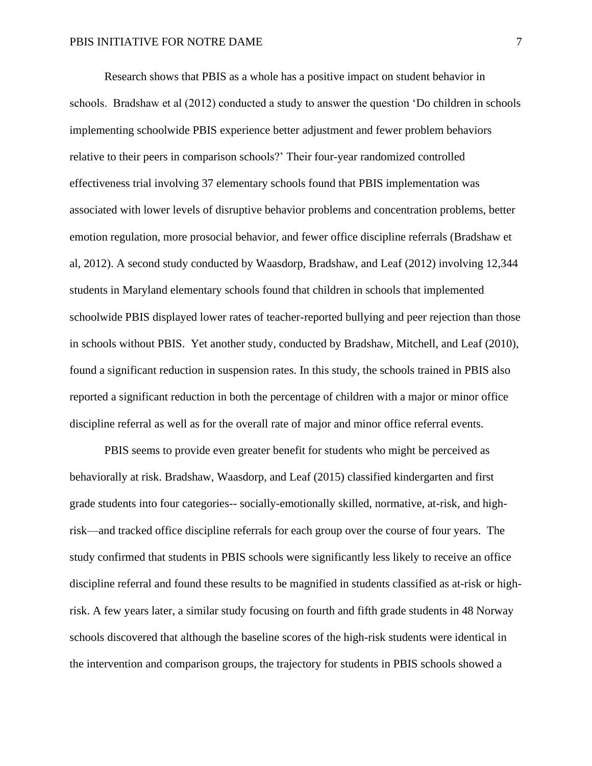Research shows that PBIS as a whole has a positive impact on student behavior in schools. Bradshaw et al (2012) conducted a study to answer the question 'Do children in schools implementing schoolwide PBIS experience better adjustment and fewer problem behaviors relative to their peers in comparison schools?' Their four-year randomized controlled effectiveness trial involving 37 elementary schools found that PBIS implementation was associated with lower levels of disruptive behavior problems and concentration problems, better emotion regulation, more prosocial behavior, and fewer office discipline referrals (Bradshaw et al, 2012). A second study conducted by Waasdorp, Bradshaw, and Leaf (2012) involving 12,344 students in Maryland elementary schools found that children in schools that implemented schoolwide PBIS displayed lower rates of teacher-reported bullying and peer rejection than those in schools without PBIS. Yet another study, conducted by Bradshaw, Mitchell, and Leaf (2010), found a significant reduction in suspension rates. In this study, the schools trained in PBIS also reported a significant reduction in both the percentage of children with a major or minor office discipline referral as well as for the overall rate of major and minor office referral events.

PBIS seems to provide even greater benefit for students who might be perceived as behaviorally at risk. Bradshaw, Waasdorp, and Leaf (2015) classified kindergarten and first grade students into four categories-- socially-emotionally skilled, normative, at-risk, and highrisk—and tracked office discipline referrals for each group over the course of four years. The study confirmed that students in PBIS schools were significantly less likely to receive an office discipline referral and found these results to be magnified in students classified as at-risk or highrisk. A few years later, a similar study focusing on fourth and fifth grade students in 48 Norway schools discovered that although the baseline scores of the high-risk students were identical in the intervention and comparison groups, the trajectory for students in PBIS schools showed a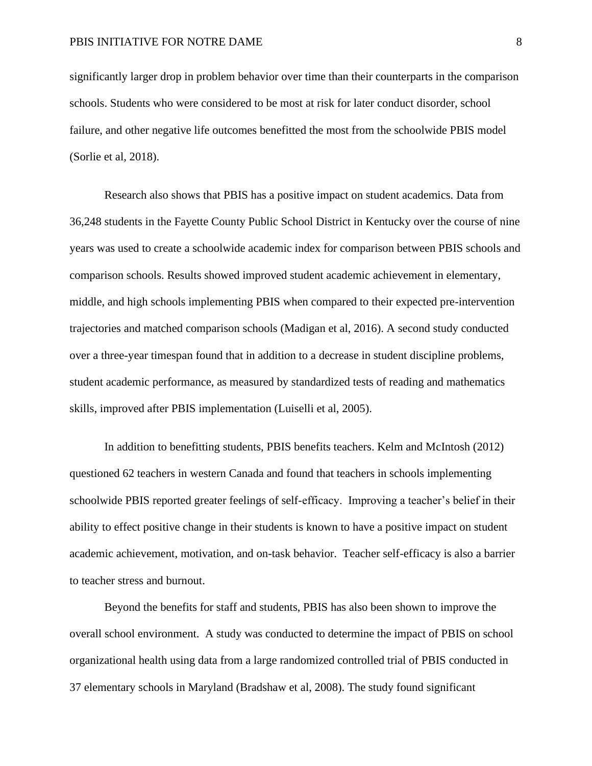significantly larger drop in problem behavior over time than their counterparts in the comparison schools. Students who were considered to be most at risk for later conduct disorder, school failure, and other negative life outcomes benefitted the most from the schoolwide PBIS model (Sorlie et al, 2018).

Research also shows that PBIS has a positive impact on student academics. Data from 36,248 students in the Fayette County Public School District in Kentucky over the course of nine years was used to create a schoolwide academic index for comparison between PBIS schools and comparison schools. Results showed improved student academic achievement in elementary, middle, and high schools implementing PBIS when compared to their expected pre-intervention trajectories and matched comparison schools (Madigan et al, 2016). A second study conducted over a three-year timespan found that in addition to a decrease in student discipline problems, student academic performance, as measured by standardized tests of reading and mathematics skills, improved after PBIS implementation (Luiselli et al, 2005).

In addition to benefitting students, PBIS benefits teachers. Kelm and McIntosh (2012) questioned 62 teachers in western Canada and found that teachers in schools implementing schoolwide PBIS reported greater feelings of self-efficacy. Improving a teacher's belief in their ability to effect positive change in their students is known to have a positive impact on student academic achievement, motivation, and on-task behavior. Teacher self-efficacy is also a barrier to teacher stress and burnout.

Beyond the benefits for staff and students, PBIS has also been shown to improve the overall school environment. A study was conducted to determine the impact of PBIS on school organizational health using data from a large randomized controlled trial of PBIS conducted in 37 elementary schools in Maryland (Bradshaw et al, 2008). The study found significant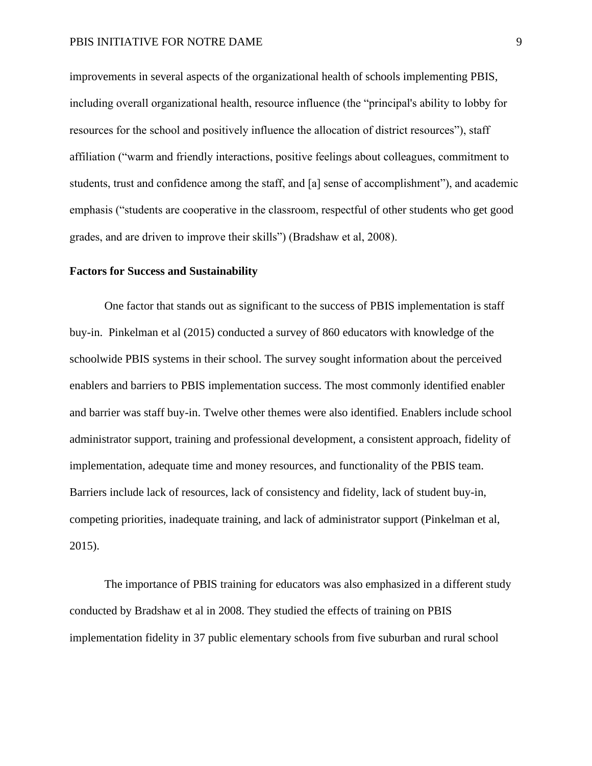improvements in several aspects of the organizational health of schools implementing PBIS, including overall organizational health, resource influence (the "principal's ability to lobby for resources for the school and positively influence the allocation of district resources"), staff affiliation ("warm and friendly interactions, positive feelings about colleagues, commitment to students, trust and confidence among the staff, and [a] sense of accomplishment"), and academic emphasis ("students are cooperative in the classroom, respectful of other students who get good grades, and are driven to improve their skills") (Bradshaw et al, 2008).

## **Factors for Success and Sustainability**

One factor that stands out as significant to the success of PBIS implementation is staff buy-in. Pinkelman et al (2015) conducted a survey of 860 educators with knowledge of the schoolwide PBIS systems in their school. The survey sought information about the perceived enablers and barriers to PBIS implementation success. The most commonly identified enabler and barrier was staff buy-in. Twelve other themes were also identified. Enablers include school administrator support, training and professional development, a consistent approach, fidelity of implementation, adequate time and money resources, and functionality of the PBIS team. Barriers include lack of resources, lack of consistency and fidelity, lack of student buy-in, competing priorities, inadequate training, and lack of administrator support (Pinkelman et al, 2015).

The importance of PBIS training for educators was also emphasized in a different study conducted by Bradshaw et al in 2008. They studied the effects of training on PBIS implementation fidelity in 37 public elementary schools from five suburban and rural school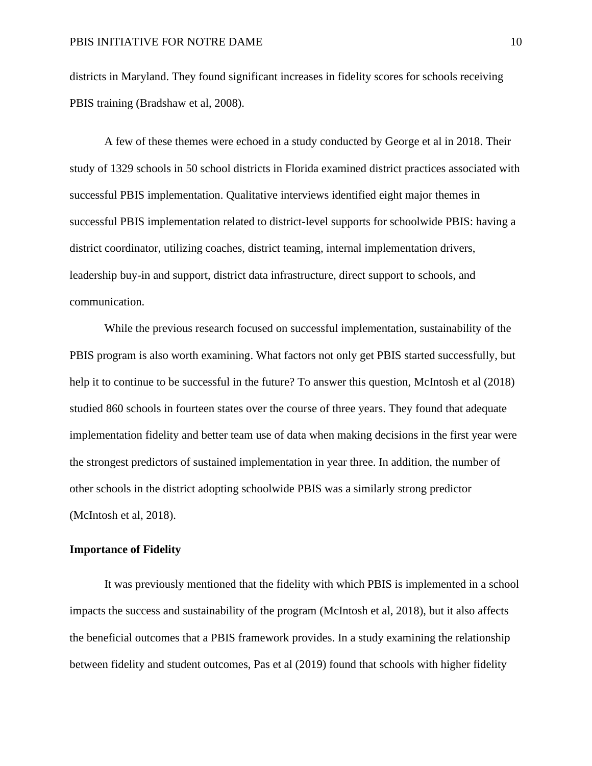districts in Maryland. They found significant increases in fidelity scores for schools receiving PBIS training (Bradshaw et al, 2008).

A few of these themes were echoed in a study conducted by George et al in 2018. Their study of 1329 schools in 50 school districts in Florida examined district practices associated with successful PBIS implementation. Qualitative interviews identified eight major themes in successful PBIS implementation related to district-level supports for schoolwide PBIS: having a district coordinator, utilizing coaches, district teaming, internal implementation drivers, leadership buy-in and support, district data infrastructure, direct support to schools, and communication.

While the previous research focused on successful implementation, sustainability of the PBIS program is also worth examining. What factors not only get PBIS started successfully, but help it to continue to be successful in the future? To answer this question, McIntosh et al (2018) studied 860 schools in fourteen states over the course of three years. They found that adequate implementation fidelity and better team use of data when making decisions in the first year were the strongest predictors of sustained implementation in year three. In addition, the number of other schools in the district adopting schoolwide PBIS was a similarly strong predictor (McIntosh et al, 2018).

## **Importance of Fidelity**

It was previously mentioned that the fidelity with which PBIS is implemented in a school impacts the success and sustainability of the program (McIntosh et al, 2018), but it also affects the beneficial outcomes that a PBIS framework provides. In a study examining the relationship between fidelity and student outcomes, Pas et al (2019) found that schools with higher fidelity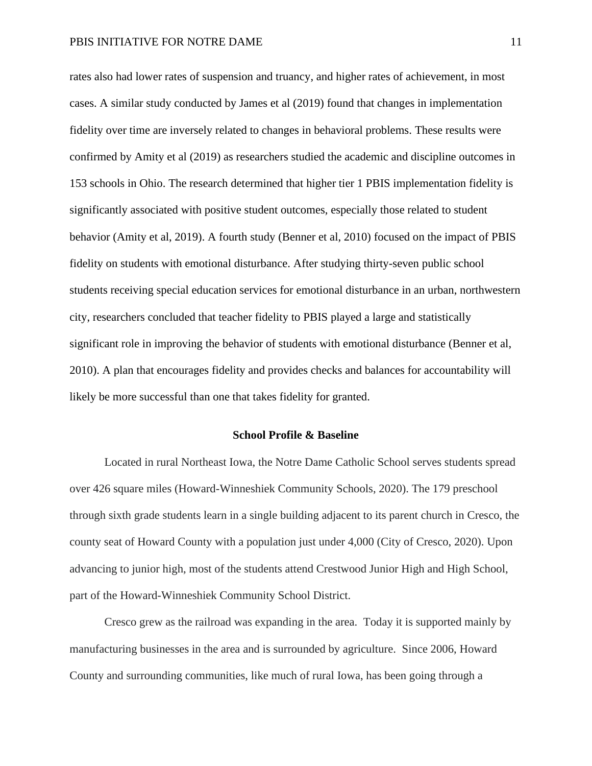rates also had lower rates of suspension and truancy, and higher rates of achievement, in most cases. A similar study conducted by James et al (2019) found that changes in implementation fidelity over time are inversely related to changes in behavioral problems. These results were confirmed by Amity et al (2019) as researchers studied the academic and discipline outcomes in 153 schools in Ohio. The research determined that higher tier 1 PBIS implementation fidelity is significantly associated with positive student outcomes, especially those related to student behavior (Amity et al, 2019). A fourth study (Benner et al, 2010) focused on the impact of PBIS fidelity on students with emotional disturbance. After studying thirty-seven public school students receiving special education services for emotional disturbance in an urban, northwestern city, researchers concluded that teacher fidelity to PBIS played a large and statistically significant role in improving the behavior of students with emotional disturbance (Benner et al, 2010). A plan that encourages fidelity and provides checks and balances for accountability will likely be more successful than one that takes fidelity for granted.

#### **School Profile & Baseline**

<span id="page-11-0"></span>Located in rural Northeast Iowa, the Notre Dame Catholic School serves students spread over 426 square miles (Howard-Winneshiek Community Schools, 2020). The 179 preschool through sixth grade students learn in a single building adjacent to its parent church in Cresco, the county seat of Howard County with a population just under 4,000 (City of Cresco, 2020). Upon advancing to junior high, most of the students attend Crestwood Junior High and High School, part of the Howard-Winneshiek Community School District.

Cresco grew as the railroad was expanding in the area. Today it is supported mainly by manufacturing businesses in the area and is surrounded by agriculture. Since 2006, Howard County and surrounding communities, like much of rural Iowa, has been going through a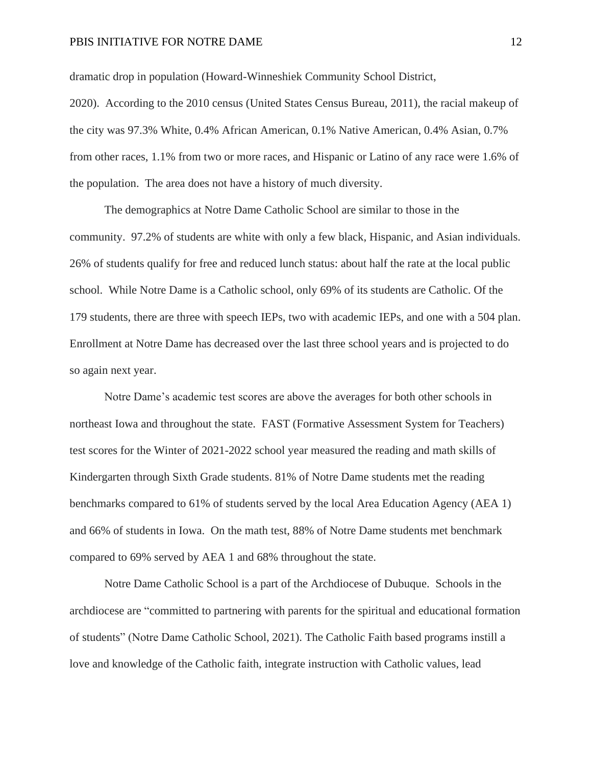dramatic drop in population (Howard-Winneshiek Community School District,

2020). According to the 2010 census (United States Census Bureau, 2011), the racial makeup of the city was 97.3% White, 0.4% African American, 0.1% Native American, 0.4% Asian, 0.7% from other races, 1.1% from two or more races, and Hispanic or Latino of any race were 1.6% of the population. The area does not have a history of much diversity.

The demographics at Notre Dame Catholic School are similar to those in the community. 97.2% of students are white with only a few black, Hispanic, and Asian individuals. 26% of students qualify for free and reduced lunch status: about half the rate at the local public school. While Notre Dame is a Catholic school, only 69% of its students are Catholic. Of the 179 students, there are three with speech IEPs, two with academic IEPs, and one with a 504 plan. Enrollment at Notre Dame has decreased over the last three school years and is projected to do so again next year.

Notre Dame's academic test scores are above the averages for both other schools in northeast Iowa and throughout the state. FAST (Formative Assessment System for Teachers) test scores for the Winter of 2021-2022 school year measured the reading and math skills of Kindergarten through Sixth Grade students. 81% of Notre Dame students met the reading benchmarks compared to 61% of students served by the local Area Education Agency (AEA 1) and 66% of students in Iowa. On the math test, 88% of Notre Dame students met benchmark compared to 69% served by AEA 1 and 68% throughout the state.

Notre Dame Catholic School is a part of the Archdiocese of Dubuque. Schools in the archdiocese are "committed to partnering with parents for the spiritual and educational formation of students" (Notre Dame Catholic School, 2021). The Catholic Faith based programs instill a love and knowledge of the Catholic faith, integrate instruction with Catholic values, lead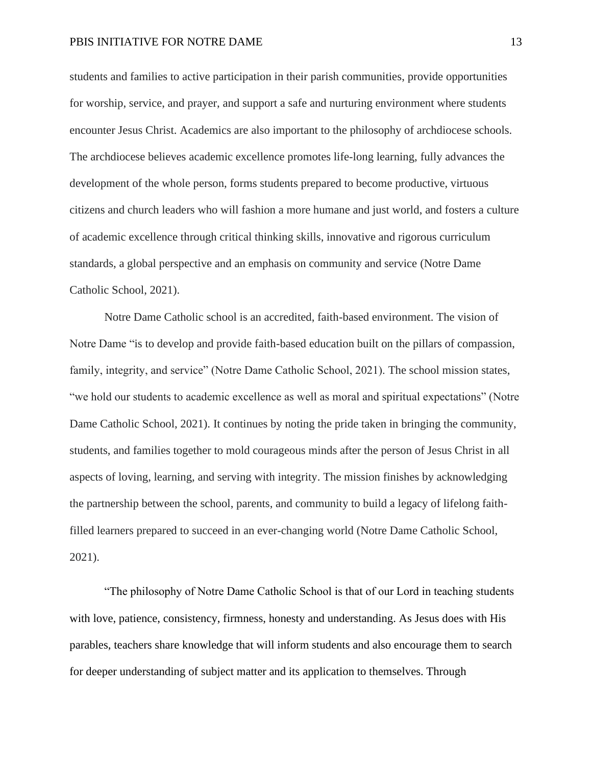students and families to active participation in their parish communities, provide opportunities for worship, service, and prayer, and support a safe and nurturing environment where students encounter Jesus Christ. Academics are also important to the philosophy of archdiocese schools. The archdiocese believes academic excellence promotes life-long learning, fully advances the development of the whole person, forms students prepared to become productive, virtuous citizens and church leaders who will fashion a more humane and just world, and fosters a culture of academic excellence through critical thinking skills, innovative and rigorous curriculum standards, a global perspective and an emphasis on community and service (Notre Dame Catholic School, 2021).

Notre Dame Catholic school is an accredited, faith-based environment. The vision of Notre Dame "is to develop and provide faith-based education built on the pillars of compassion, family, integrity, and service" (Notre Dame Catholic School, 2021). The school mission states, "we hold our students to academic excellence as well as moral and spiritual expectations" (Notre Dame Catholic School, 2021). It continues by noting the pride taken in bringing the community, students, and families together to mold courageous minds after the person of Jesus Christ in all aspects of loving, learning, and serving with integrity. The mission finishes by acknowledging the partnership between the school, parents, and community to build a legacy of lifelong faithfilled learners prepared to succeed in an ever-changing world (Notre Dame Catholic School, 2021).

"The philosophy of Notre Dame Catholic School is that of our Lord in teaching students with love, patience, consistency, firmness, honesty and understanding. As Jesus does with His parables, teachers share knowledge that will inform students and also encourage them to search for deeper understanding of subject matter and its application to themselves. Through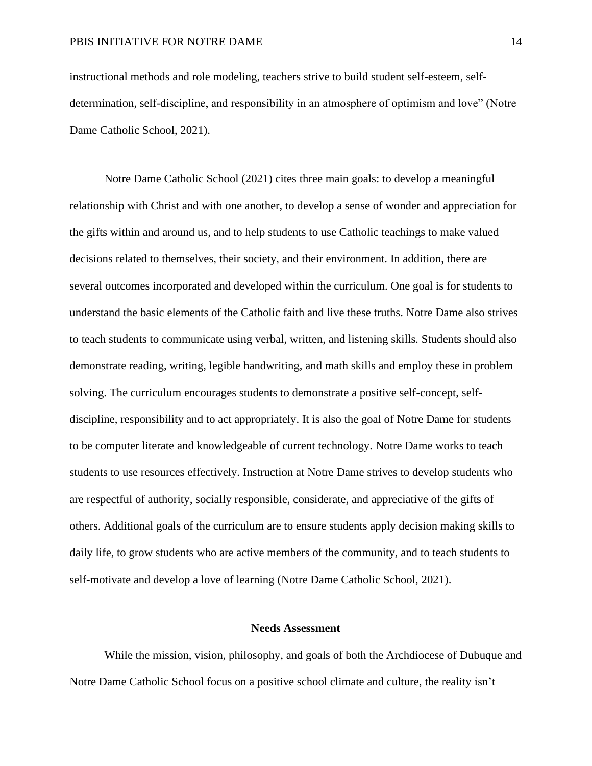instructional methods and role modeling, teachers strive to build student self-esteem, selfdetermination, self-discipline, and responsibility in an atmosphere of optimism and love" (Notre Dame Catholic School, 2021).

Notre Dame Catholic School (2021) cites three main goals: to develop a meaningful relationship with Christ and with one another, to develop a sense of wonder and appreciation for the gifts within and around us, and to help students to use Catholic teachings to make valued decisions related to themselves, their society, and their environment. In addition, there are several outcomes incorporated and developed within the curriculum. One goal is for students to understand the basic elements of the Catholic faith and live these truths. Notre Dame also strives to teach students to communicate using verbal, written, and listening skills. Students should also demonstrate reading, writing, legible handwriting, and math skills and employ these in problem solving. The curriculum encourages students to demonstrate a positive self-concept, selfdiscipline, responsibility and to act appropriately. It is also the goal of Notre Dame for students to be computer literate and knowledgeable of current technology. Notre Dame works to teach students to use resources effectively. Instruction at Notre Dame strives to develop students who are respectful of authority, socially responsible, considerate, and appreciative of the gifts of others. Additional goals of the curriculum are to ensure students apply decision making skills to daily life, to grow students who are active members of the community, and to teach students to self-motivate and develop a love of learning (Notre Dame Catholic School, 2021).

## **Needs Assessment**

<span id="page-14-0"></span>While the mission, vision, philosophy, and goals of both the Archdiocese of Dubuque and Notre Dame Catholic School focus on a positive school climate and culture, the reality isn't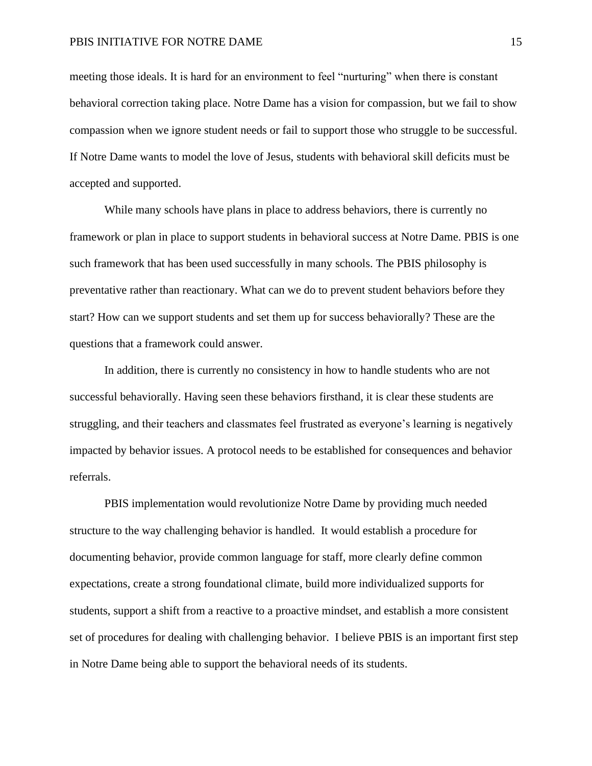meeting those ideals. It is hard for an environment to feel "nurturing" when there is constant behavioral correction taking place. Notre Dame has a vision for compassion, but we fail to show compassion when we ignore student needs or fail to support those who struggle to be successful. If Notre Dame wants to model the love of Jesus, students with behavioral skill deficits must be accepted and supported.

While many schools have plans in place to address behaviors, there is currently no framework or plan in place to support students in behavioral success at Notre Dame. PBIS is one such framework that has been used successfully in many schools. The PBIS philosophy is preventative rather than reactionary. What can we do to prevent student behaviors before they start? How can we support students and set them up for success behaviorally? These are the questions that a framework could answer.

In addition, there is currently no consistency in how to handle students who are not successful behaviorally. Having seen these behaviors firsthand, it is clear these students are struggling, and their teachers and classmates feel frustrated as everyone's learning is negatively impacted by behavior issues. A protocol needs to be established for consequences and behavior referrals.

PBIS implementation would revolutionize Notre Dame by providing much needed structure to the way challenging behavior is handled. It would establish a procedure for documenting behavior, provide common language for staff, more clearly define common expectations, create a strong foundational climate, build more individualized supports for students, support a shift from a reactive to a proactive mindset, and establish a more consistent set of procedures for dealing with challenging behavior. I believe PBIS is an important first step in Notre Dame being able to support the behavioral needs of its students.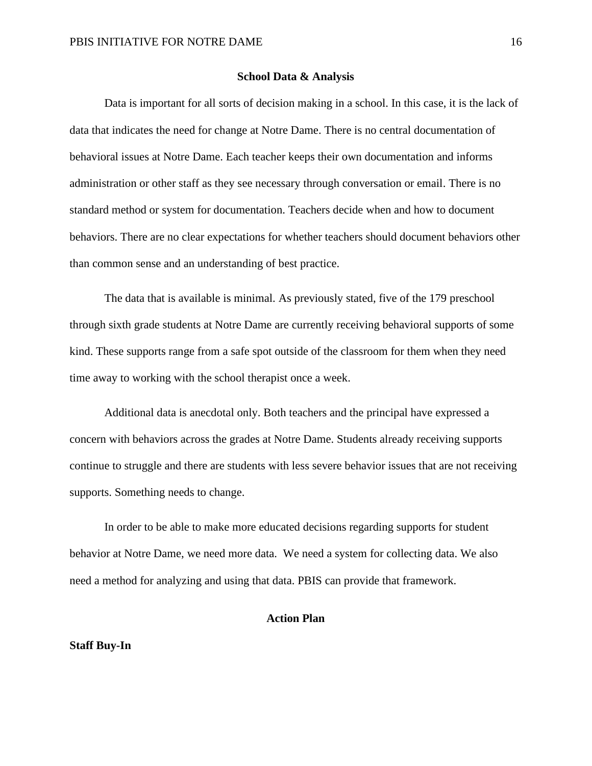### **School Data & Analysis**

<span id="page-16-0"></span>Data is important for all sorts of decision making in a school. In this case, it is the lack of data that indicates the need for change at Notre Dame. There is no central documentation of behavioral issues at Notre Dame. Each teacher keeps their own documentation and informs administration or other staff as they see necessary through conversation or email. There is no standard method or system for documentation. Teachers decide when and how to document behaviors. There are no clear expectations for whether teachers should document behaviors other than common sense and an understanding of best practice.

The data that is available is minimal. As previously stated, five of the 179 preschool through sixth grade students at Notre Dame are currently receiving behavioral supports of some kind. These supports range from a safe spot outside of the classroom for them when they need time away to working with the school therapist once a week.

Additional data is anecdotal only. Both teachers and the principal have expressed a concern with behaviors across the grades at Notre Dame. Students already receiving supports continue to struggle and there are students with less severe behavior issues that are not receiving supports. Something needs to change.

In order to be able to make more educated decisions regarding supports for student behavior at Notre Dame, we need more data. We need a system for collecting data. We also need a method for analyzing and using that data. PBIS can provide that framework.

## **Action Plan**

### <span id="page-16-1"></span>**Staff Buy-In**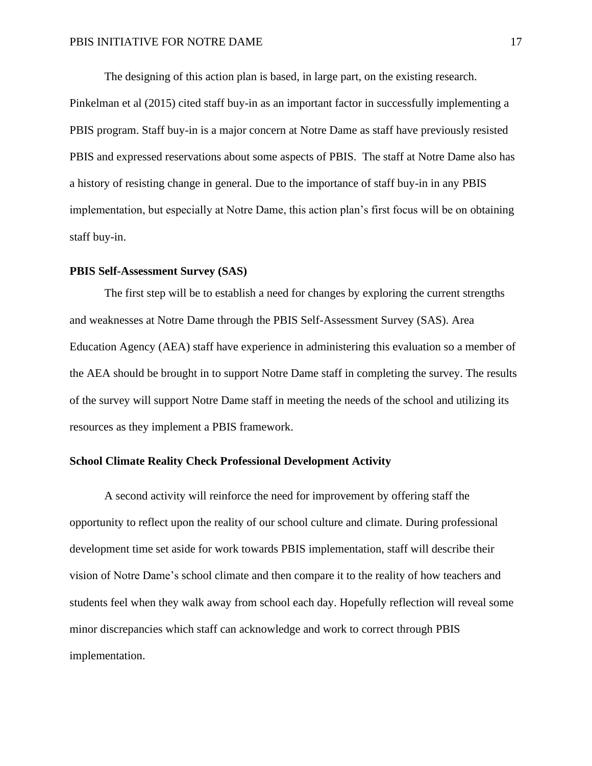The designing of this action plan is based, in large part, on the existing research.

Pinkelman et al (2015) cited staff buy-in as an important factor in successfully implementing a PBIS program. Staff buy-in is a major concern at Notre Dame as staff have previously resisted PBIS and expressed reservations about some aspects of PBIS. The staff at Notre Dame also has a history of resisting change in general. Due to the importance of staff buy-in in any PBIS implementation, but especially at Notre Dame, this action plan's first focus will be on obtaining staff buy-in.

## **PBIS Self-Assessment Survey (SAS)**

The first step will be to establish a need for changes by exploring the current strengths and weaknesses at Notre Dame through the PBIS Self-Assessment Survey (SAS). Area Education Agency (AEA) staff have experience in administering this evaluation so a member of the AEA should be brought in to support Notre Dame staff in completing the survey. The results of the survey will support Notre Dame staff in meeting the needs of the school and utilizing its resources as they implement a PBIS framework.

## **School Climate Reality Check Professional Development Activity**

A second activity will reinforce the need for improvement by offering staff the opportunity to reflect upon the reality of our school culture and climate. During professional development time set aside for work towards PBIS implementation, staff will describe their vision of Notre Dame's school climate and then compare it to the reality of how teachers and students feel when they walk away from school each day. Hopefully reflection will reveal some minor discrepancies which staff can acknowledge and work to correct through PBIS implementation.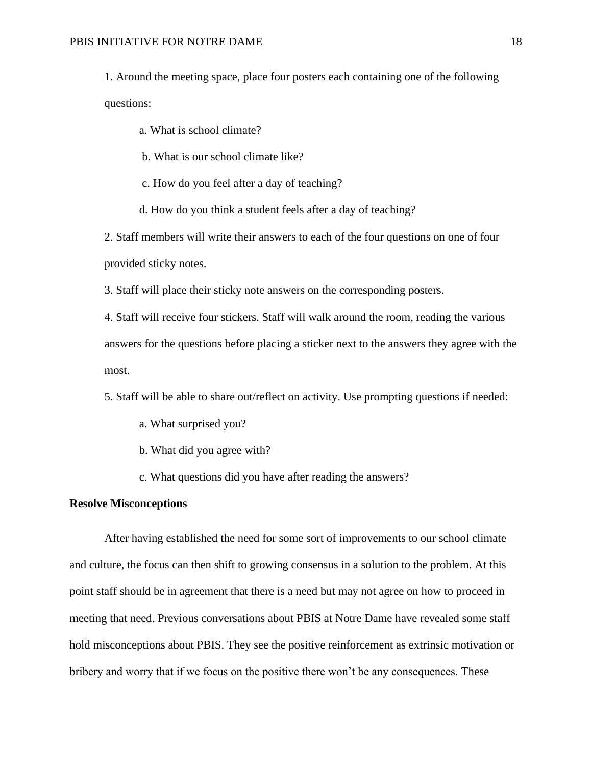1. Around the meeting space, place four posters each containing one of the following questions:

a. What is school climate?

b. What is our school climate like?

c. How do you feel after a day of teaching?

d. How do you think a student feels after a day of teaching?

2. Staff members will write their answers to each of the four questions on one of four provided sticky notes.

3. Staff will place their sticky note answers on the corresponding posters.

4. Staff will receive four stickers. Staff will walk around the room, reading the various answers for the questions before placing a sticker next to the answers they agree with the most.

5. Staff will be able to share out/reflect on activity. Use prompting questions if needed:

- a. What surprised you?
- b. What did you agree with?
- c. What questions did you have after reading the answers?

## **Resolve Misconceptions**

After having established the need for some sort of improvements to our school climate and culture, the focus can then shift to growing consensus in a solution to the problem. At this point staff should be in agreement that there is a need but may not agree on how to proceed in meeting that need. Previous conversations about PBIS at Notre Dame have revealed some staff hold misconceptions about PBIS. They see the positive reinforcement as extrinsic motivation or bribery and worry that if we focus on the positive there won't be any consequences. These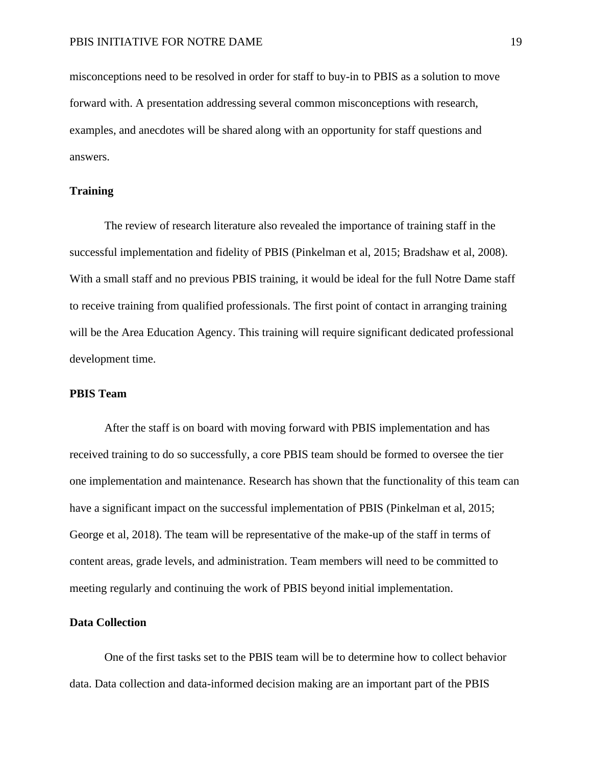misconceptions need to be resolved in order for staff to buy-in to PBIS as a solution to move forward with. A presentation addressing several common misconceptions with research, examples, and anecdotes will be shared along with an opportunity for staff questions and answers.

## **Training**

The review of research literature also revealed the importance of training staff in the successful implementation and fidelity of PBIS (Pinkelman et al, 2015; Bradshaw et al, 2008). With a small staff and no previous PBIS training, it would be ideal for the full Notre Dame staff to receive training from qualified professionals. The first point of contact in arranging training will be the Area Education Agency. This training will require significant dedicated professional development time.

## **PBIS Team**

After the staff is on board with moving forward with PBIS implementation and has received training to do so successfully, a core PBIS team should be formed to oversee the tier one implementation and maintenance. Research has shown that the functionality of this team can have a significant impact on the successful implementation of PBIS (Pinkelman et al, 2015; George et al, 2018). The team will be representative of the make-up of the staff in terms of content areas, grade levels, and administration. Team members will need to be committed to meeting regularly and continuing the work of PBIS beyond initial implementation.

## **Data Collection**

One of the first tasks set to the PBIS team will be to determine how to collect behavior data. Data collection and data-informed decision making are an important part of the PBIS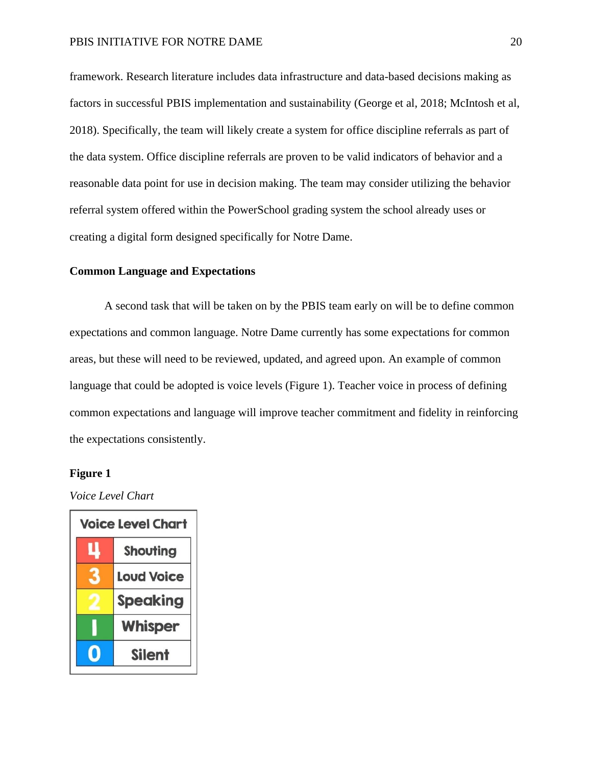framework. Research literature includes data infrastructure and data-based decisions making as factors in successful PBIS implementation and sustainability (George et al, 2018; McIntosh et al, 2018). Specifically, the team will likely create a system for office discipline referrals as part of the data system. Office discipline referrals are proven to be valid indicators of behavior and a reasonable data point for use in decision making. The team may consider utilizing the behavior referral system offered within the PowerSchool grading system the school already uses or creating a digital form designed specifically for Notre Dame.

## **Common Language and Expectations**

A second task that will be taken on by the PBIS team early on will be to define common expectations and common language. Notre Dame currently has some expectations for common areas, but these will need to be reviewed, updated, and agreed upon. An example of common language that could be adopted is voice levels (Figure 1). Teacher voice in process of defining common expectations and language will improve teacher commitment and fidelity in reinforcing the expectations consistently.

## **Figure 1**

*Voice Level Chart*

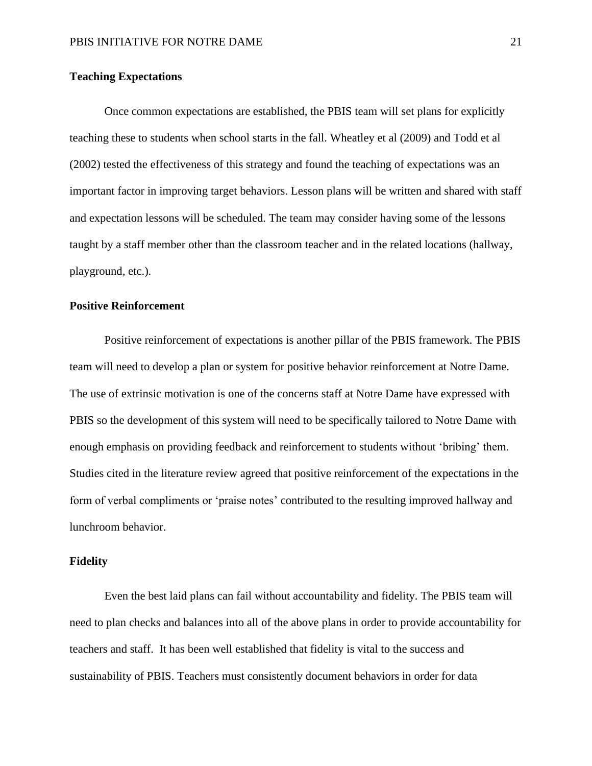## **Teaching Expectations**

Once common expectations are established, the PBIS team will set plans for explicitly teaching these to students when school starts in the fall. Wheatley et al (2009) and Todd et al (2002) tested the effectiveness of this strategy and found the teaching of expectations was an important factor in improving target behaviors. Lesson plans will be written and shared with staff and expectation lessons will be scheduled. The team may consider having some of the lessons taught by a staff member other than the classroom teacher and in the related locations (hallway, playground, etc.).

## **Positive Reinforcement**

Positive reinforcement of expectations is another pillar of the PBIS framework. The PBIS team will need to develop a plan or system for positive behavior reinforcement at Notre Dame. The use of extrinsic motivation is one of the concerns staff at Notre Dame have expressed with PBIS so the development of this system will need to be specifically tailored to Notre Dame with enough emphasis on providing feedback and reinforcement to students without 'bribing' them. Studies cited in the literature review agreed that positive reinforcement of the expectations in the form of verbal compliments or 'praise notes' contributed to the resulting improved hallway and lunchroom behavior.

### **Fidelity**

Even the best laid plans can fail without accountability and fidelity. The PBIS team will need to plan checks and balances into all of the above plans in order to provide accountability for teachers and staff. It has been well established that fidelity is vital to the success and sustainability of PBIS. Teachers must consistently document behaviors in order for data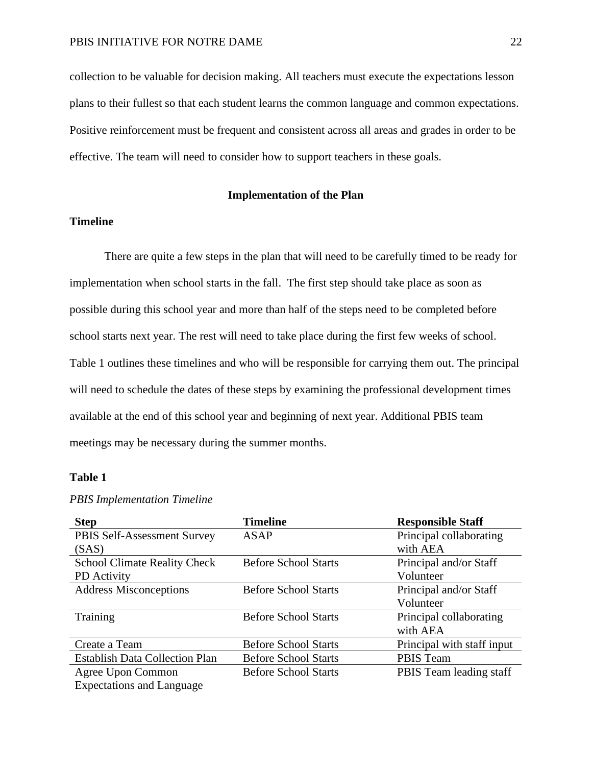collection to be valuable for decision making. All teachers must execute the expectations lesson plans to their fullest so that each student learns the common language and common expectations. Positive reinforcement must be frequent and consistent across all areas and grades in order to be effective. The team will need to consider how to support teachers in these goals.

#### **Implementation of the Plan**

## <span id="page-22-0"></span>**Timeline**

There are quite a few steps in the plan that will need to be carefully timed to be ready for implementation when school starts in the fall. The first step should take place as soon as possible during this school year and more than half of the steps need to be completed before school starts next year. The rest will need to take place during the first few weeks of school. Table 1 outlines these timelines and who will be responsible for carrying them out. The principal will need to schedule the dates of these steps by examining the professional development times available at the end of this school year and beginning of next year. Additional PBIS team meetings may be necessary during the summer months.

## **Table 1**

| <b>Step</b>                           | <b>Timeline</b>             | <b>Responsible Staff</b>   |
|---------------------------------------|-----------------------------|----------------------------|
| PBIS Self-Assessment Survey           | <b>ASAP</b>                 | Principal collaborating    |
| (SAS)                                 |                             | with AEA                   |
| <b>School Climate Reality Check</b>   | <b>Before School Starts</b> | Principal and/or Staff     |
| PD Activity                           |                             | Volunteer                  |
| <b>Address Misconceptions</b>         | <b>Before School Starts</b> | Principal and/or Staff     |
|                                       |                             | Volunteer                  |
| Training                              | <b>Before School Starts</b> | Principal collaborating    |
|                                       |                             | with AEA                   |
| Create a Team                         | <b>Before School Starts</b> | Principal with staff input |
| <b>Establish Data Collection Plan</b> | <b>Before School Starts</b> | <b>PBIS Team</b>           |
| Agree Upon Common                     | <b>Before School Starts</b> | PBIS Team leading staff    |
| <b>Expectations and Language</b>      |                             |                            |

#### *PBIS Implementation Timeline*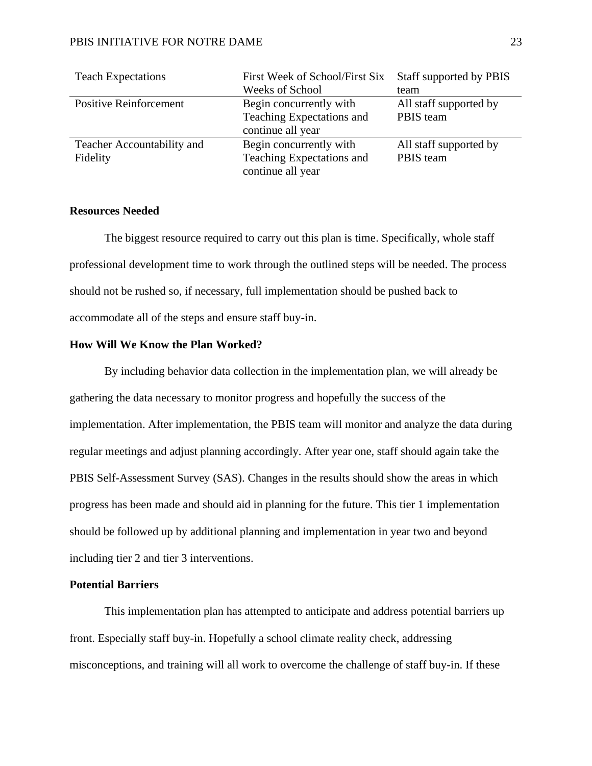| <b>Teach Expectations</b>     | First Week of School/First Six | Staff supported by PBIS |
|-------------------------------|--------------------------------|-------------------------|
|                               | <b>Weeks of School</b>         | team                    |
| <b>Positive Reinforcement</b> | Begin concurrently with        | All staff supported by  |
|                               | Teaching Expectations and      | PBIS team               |
|                               | continue all year              |                         |
| Teacher Accountability and    | Begin concurrently with        | All staff supported by  |
| Fidelity                      | Teaching Expectations and      | PBIS team               |
|                               | continue all year              |                         |

## **Resources Needed**

The biggest resource required to carry out this plan is time. Specifically, whole staff professional development time to work through the outlined steps will be needed. The process should not be rushed so, if necessary, full implementation should be pushed back to accommodate all of the steps and ensure staff buy-in.

#### **How Will We Know the Plan Worked?**

By including behavior data collection in the implementation plan, we will already be gathering the data necessary to monitor progress and hopefully the success of the implementation. After implementation, the PBIS team will monitor and analyze the data during regular meetings and adjust planning accordingly. After year one, staff should again take the PBIS Self-Assessment Survey (SAS). Changes in the results should show the areas in which progress has been made and should aid in planning for the future. This tier 1 implementation should be followed up by additional planning and implementation in year two and beyond including tier 2 and tier 3 interventions.

## **Potential Barriers**

This implementation plan has attempted to anticipate and address potential barriers up front. Especially staff buy-in. Hopefully a school climate reality check, addressing misconceptions, and training will all work to overcome the challenge of staff buy-in. If these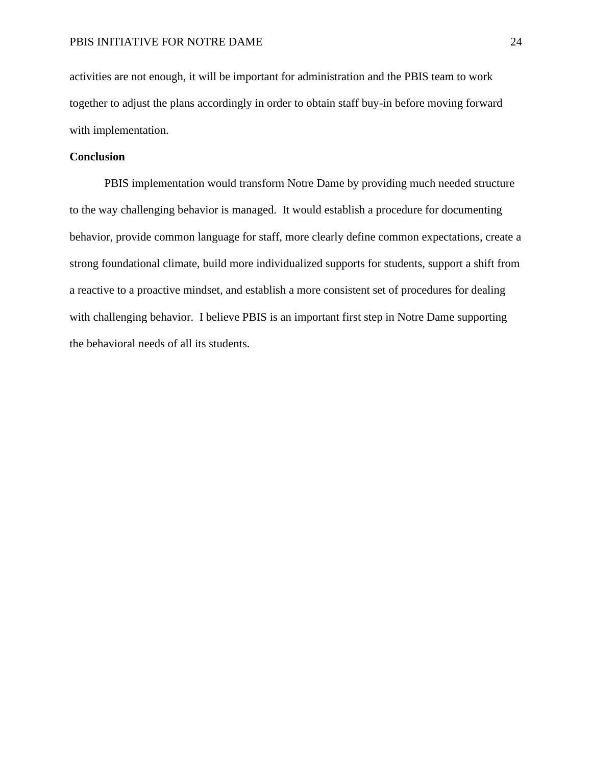activities are not enough, it will be important for administration and the PBIS team to work together to adjust the plans accordingly in order to obtain staff buy-in before moving forward with implementation.

## **Conclusion**

PBIS implementation would transform Notre Dame by providing much needed structure to the way challenging behavior is managed. It would establish a procedure for documenting behavior, provide common language for staff, more clearly define common expectations, create a strong foundational climate, build more individualized supports for students, support a shift from a reactive to a proactive mindset, and establish a more consistent set of procedures for dealing with challenging behavior. I believe PBIS is an important first step in Notre Dame supporting the behavioral needs of all its students.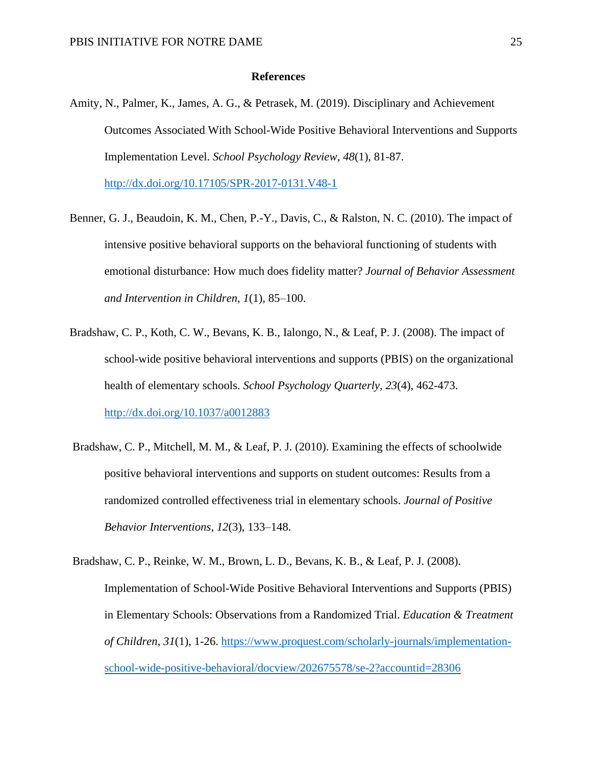#### **References**

<span id="page-25-0"></span>Amity, N., Palmer, K., James, A. G., & Petrasek, M. (2019). Disciplinary and Achievement Outcomes Associated With School-Wide Positive Behavioral Interventions and Supports Implementation Level. *School Psychology Review, 48*(1), 81-87.

<http://dx.doi.org/10.17105/SPR-2017-0131.V48-1>

- Benner, G. J., Beaudoin, K. M., Chen, P.-Y., Davis, C., & Ralston, N. C. (2010). The impact of intensive positive behavioral supports on the behavioral functioning of students with emotional disturbance: How much does fidelity matter? *Journal of Behavior Assessment and Intervention in Children, 1*(1), 85–100.
- Bradshaw, C. P., Koth, C. W., Bevans, K. B., Ialongo, N., & Leaf, P. J. (2008). The impact of school-wide positive behavioral interventions and supports (PBIS) on the organizational health of elementary schools. *School Psychology Quarterly, 23*(4), 462-473. <http://dx.doi.org/10.1037/a0012883>
- Bradshaw, C. P., Mitchell, M. M., & Leaf, P. J. (2010). Examining the effects of schoolwide positive behavioral interventions and supports on student outcomes: Results from a randomized controlled effectiveness trial in elementary schools. *Journal of Positive Behavior Interventions*, *12*(3), 133–148.
- Bradshaw, C. P., Reinke, W. M., Brown, L. D., Bevans, K. B., & Leaf, P. J. (2008). Implementation of School-Wide Positive Behavioral Interventions and Supports (PBIS) in Elementary Schools: Observations from a Randomized Trial. *Education & Treatment of Children, 31*(1), 1-26. [https://www.proquest.com/scholarly-journals/implementation](https://www.proquest.com/scholarly-journals/implementation-school-wide-positive-behavioral/docview/202675578/se-2?accountid=28306)[school-wide-positive-behavioral/docview/202675578/se-2?accountid=28306](https://www.proquest.com/scholarly-journals/implementation-school-wide-positive-behavioral/docview/202675578/se-2?accountid=28306)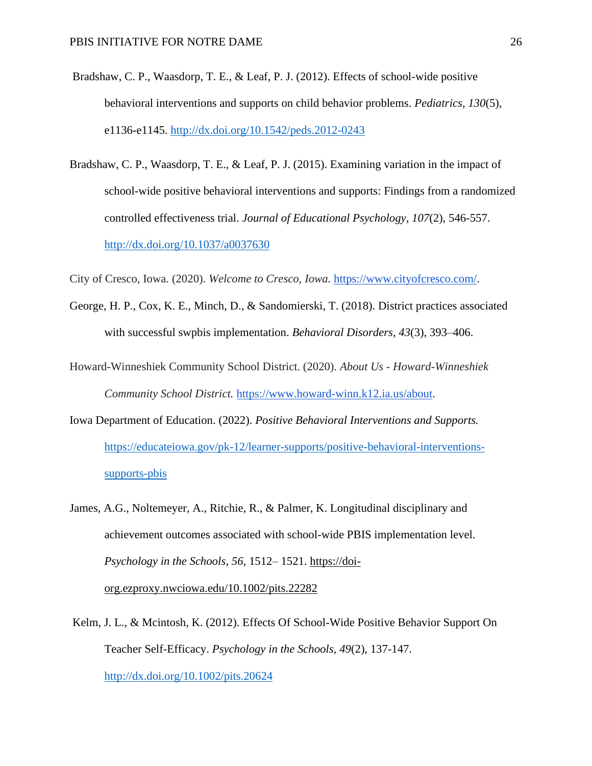- Bradshaw, C. P., Waasdorp, T. E., & Leaf, P. J. (2012). Effects of school-wide positive behavioral interventions and supports on child behavior problems. *Pediatrics, 130*(5), e1136-e1145.<http://dx.doi.org/10.1542/peds.2012-0243>
- Bradshaw, C. P., Waasdorp, T. E., & Leaf, P. J. (2015). Examining variation in the impact of school-wide positive behavioral interventions and supports: Findings from a randomized controlled effectiveness trial. *Journal of Educational Psychology, 107*(2), 546-557. <http://dx.doi.org/10.1037/a0037630>

City of Cresco, Iowa. (2020). *Welcome to Cresco, Iowa.* [https://www.cityofcresco.com/.](https://www.cityofcresco.com/)

- George, H. P., Cox, K. E., Minch, D., & Sandomierski, T. (2018). District practices associated with successful swpbis implementation. *Behavioral Disorders, 43*(3), 393–406.
- Howard-Winneshiek Community School District. (2020). *About Us - Howard-Winneshiek Community School District.* [https://www.howard-winn.k12.ia.us/about.](https://www.howard-winn.k12.ia.us/about)
- Iowa Department of Education. (2022). *Positive Behavioral Interventions and Supports.*  [https://educateiowa.gov/pk-12/learner-supports/positive-behavioral-interventions](https://educateiowa.gov/pk-12/learner-supports/positive-behavioral-interventions-supports-pbis)[supports-pbis](https://educateiowa.gov/pk-12/learner-supports/positive-behavioral-interventions-supports-pbis)
- James, A.G., Noltemeyer, A., Ritchie, R., & Palmer, K. Longitudinal disciplinary and achievement outcomes associated with school-wide PBIS implementation level. *Psychology in the Schools*, *56*, 1512– 1521. [https://doi](https://doi-org.ezproxy.nwciowa.edu/10.1002/pits.22282)[org.ezproxy.nwciowa.edu/10.1002/pits.22282](https://doi-org.ezproxy.nwciowa.edu/10.1002/pits.22282)
- Kelm, J. L., & Mcintosh, K. (2012). Effects Of School-Wide Positive Behavior Support On Teacher Self-Efficacy. *Psychology in the Schools, 49*(2), 137-147. <http://dx.doi.org/10.1002/pits.20624>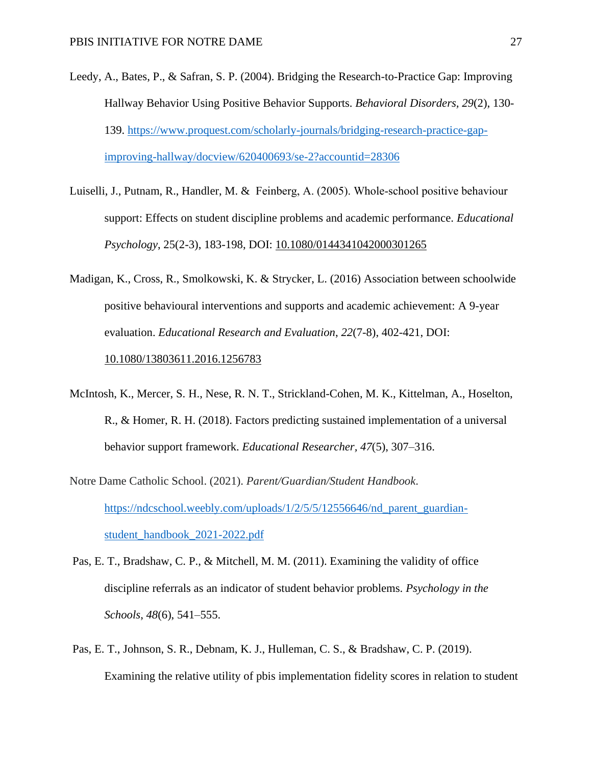- Leedy, A., Bates, P., & Safran, S. P. (2004). Bridging the Research-to-Practice Gap: Improving Hallway Behavior Using Positive Behavior Supports. *Behavioral Disorders, 29*(2), 130- 139. [https://www.proquest.com/scholarly-journals/bridging-research-practice-gap](http://ezproxy.nwciowa.edu/login?url=https://www.proquest.com/scholarly-journals/bridging-research-practice-gap-improving-hallway/docview/620400693/se-2?accountid=28306)[improving-hallway/docview/620400693/se-2?accountid=28306](http://ezproxy.nwciowa.edu/login?url=https://www.proquest.com/scholarly-journals/bridging-research-practice-gap-improving-hallway/docview/620400693/se-2?accountid=28306)
- Luiselli, J., Putnam, R., Handler, M. & Feinberg, A. (2005). Whole‐school positive behaviour support: Effects on student discipline problems and academic performance. *Educational Psychology*, 25(2-3), 183-198, DOI: [10.1080/0144341042000301265](https://doi.org/10.1080/0144341042000301265)
- Madigan, K., Cross, R., Smolkowski, K. & Strycker, L. (2016) Association between schoolwide positive behavioural interventions and supports and academic achievement: A 9-year evaluation. *Educational Research and Evaluation*, *22*(7-8), 402-421, DOI: [10.1080/13803611.2016.1256783](https://doi.org/10.1080/13803611.2016.1256783)
- McIntosh, K., Mercer, S. H., Nese, R. N. T., Strickland-Cohen, M. K., Kittelman, A., Hoselton, R., & Homer, R. H. (2018). Factors predicting sustained implementation of a universal behavior support framework. *Educational Researcher, 47*(5), 307–316.
- Notre Dame Catholic School. (2021). *Parent/Guardian/Student Handbook*. [https://ndcschool.weebly.com/uploads/1/2/5/5/12556646/nd\\_parent\\_guardian](https://ndcschool.weebly.com/uploads/1/2/5/5/12556646/nd_parent_guardian-student_handbook_2021-2022.pdf)[student\\_handbook\\_2021-2022.pdf](https://ndcschool.weebly.com/uploads/1/2/5/5/12556646/nd_parent_guardian-student_handbook_2021-2022.pdf)
- Pas, E. T., Bradshaw, C. P., & Mitchell, M. M. (2011). Examining the validity of office discipline referrals as an indicator of student behavior problems. *Psychology in the Schools*, *48*(6), 541–555.
- Pas, E. T., Johnson, S. R., Debnam, K. J., Hulleman, C. S., & Bradshaw, C. P. (2019). Examining the relative utility of pbis implementation fidelity scores in relation to student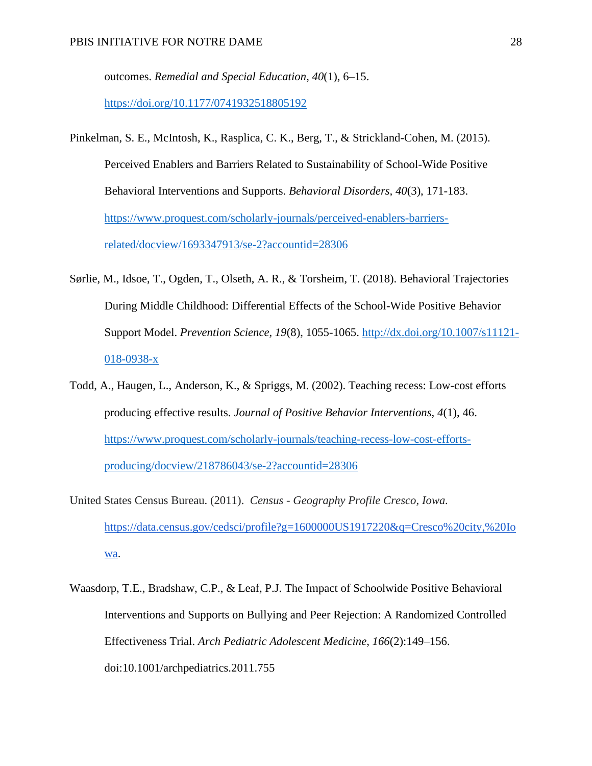outcomes. *Remedial and Special Education*, *40*(1), 6–15.

<https://doi.org/10.1177/0741932518805192>

- Pinkelman, S. E., McIntosh, K., Rasplica, C. K., Berg, T., & Strickland-Cohen, M. (2015). Perceived Enablers and Barriers Related to Sustainability of School-Wide Positive Behavioral Interventions and Supports. *Behavioral Disorders, 40*(3), 171-183. [https://www.proquest.com/scholarly-journals/perceived-enablers-barriers](http://ezproxy.nwciowa.edu/login?url=https://www.proquest.com/scholarly-journals/perceived-enablers-barriers-related/docview/1693347913/se-2?accountid=28306)[related/docview/1693347913/se-2?accountid=28306](http://ezproxy.nwciowa.edu/login?url=https://www.proquest.com/scholarly-journals/perceived-enablers-barriers-related/docview/1693347913/se-2?accountid=28306)
- Sørlie, M., Idsoe, T., Ogden, T., Olseth, A. R., & Torsheim, T. (2018). Behavioral Trajectories During Middle Childhood: Differential Effects of the School-Wide Positive Behavior Support Model. *Prevention Science, 19*(8), 1055-1065. [http://dx.doi.org/10.1007/s11121-](http://dx.doi.org/10.1007/s11121-018-0938-x) [018-0938-x](http://dx.doi.org/10.1007/s11121-018-0938-x)
- Todd, A., Haugen, L., Anderson, K., & Spriggs, M. (2002). Teaching recess: Low-cost efforts producing effective results. *Journal of Positive Behavior Interventions, 4*(1), 46. [https://www.proquest.com/scholarly-journals/teaching-recess-low-cost-efforts](http://ezproxy.nwciowa.edu/login?url=https://www.proquest.com/scholarly-journals/teaching-recess-low-cost-efforts-producing/docview/218786043/se-2?accountid=28306)[producing/docview/218786043/se-2?accountid=28306](http://ezproxy.nwciowa.edu/login?url=https://www.proquest.com/scholarly-journals/teaching-recess-low-cost-efforts-producing/docview/218786043/se-2?accountid=28306)
- United States Census Bureau. (2011). *Census - Geography Profile Cresco, Iowa.*  [https://data.census.gov/cedsci/profile?g=1600000US1917220&q=Cresco%20city,%20Io](https://data.census.gov/cedsci/profile?g=1600000US1917220&q=Cresco%20city,%20Iowa) [wa.](https://data.census.gov/cedsci/profile?g=1600000US1917220&q=Cresco%20city,%20Iowa)
- Waasdorp, T.E., Bradshaw, C.P., & Leaf, P.J. The Impact of Schoolwide Positive Behavioral Interventions and Supports on Bullying and Peer Rejection: A Randomized Controlled Effectiveness Trial. *Arch Pediatric Adolescent Medicine*, *166*(2):149–156. doi:10.1001/archpediatrics.2011.755